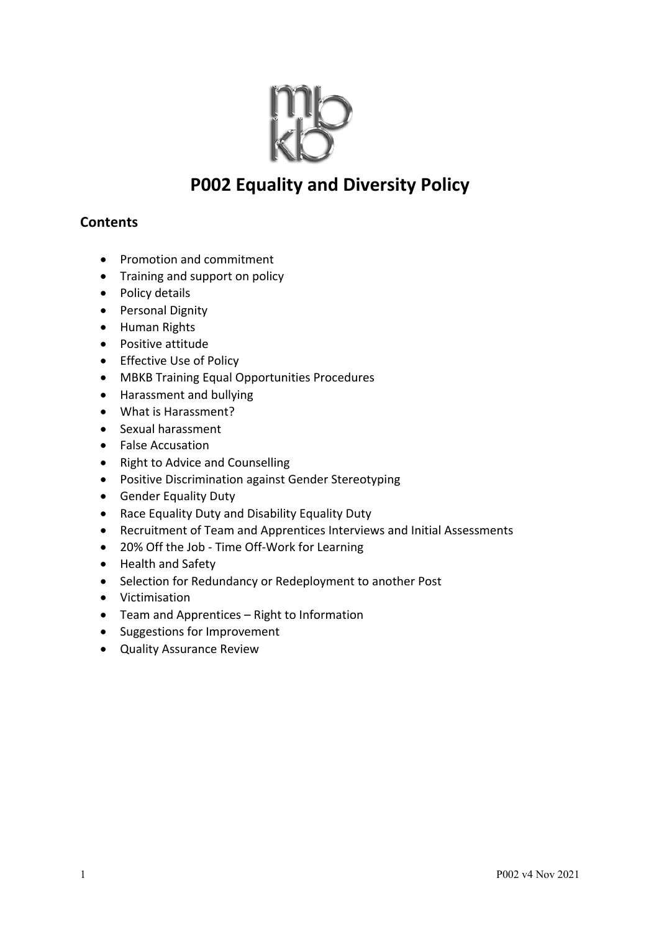

# **P002 Equality and Diversity Policy**

## **Contents**

- Promotion and commitment
- Training and support on policy
- Policy details
- Personal Dignity
- Human Rights
- Positive attitude
- Effective Use of Policy
- MBKB Training Equal Opportunities Procedures
- Harassment and bullying
- What is Harassment?
- Sexual harassment
- False Accusation
- Right to Advice and Counselling
- Positive Discrimination against Gender Stereotyping
- Gender Equality Duty
- Race Equality Duty and Disability Equality Duty
- Recruitment of Team and Apprentices Interviews and Initial Assessments
- 20% Off the Job Time Off-Work for Learning
- Health and Safety
- Selection for Redundancy or Redeployment to another Post
- Victimisation
- Team and Apprentices Right to Information
- Suggestions for Improvement
- Quality Assurance Review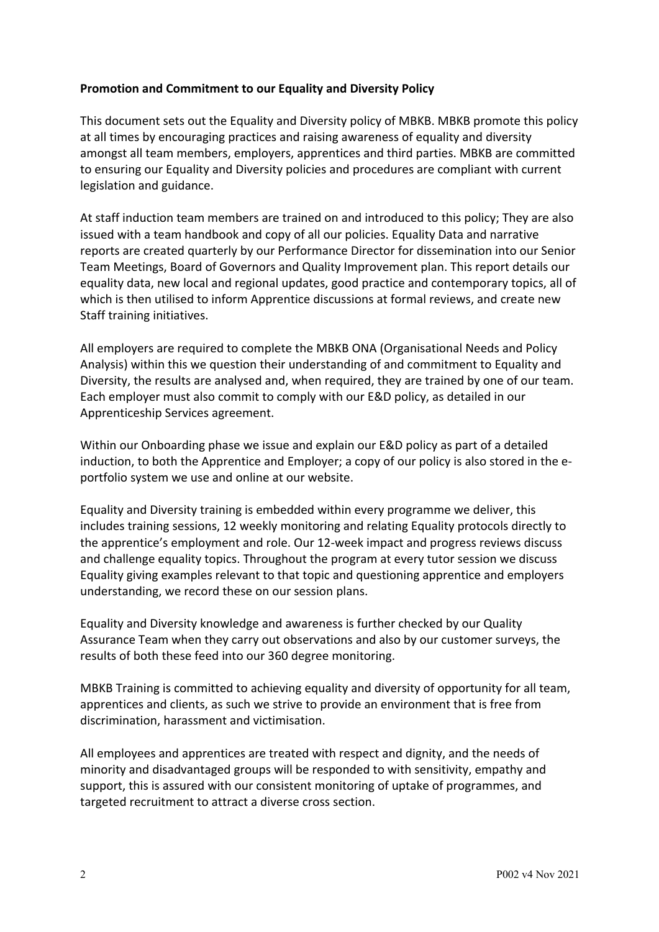### **Promotion and Commitment to our Equality and Diversity Policy**

This document sets out the Equality and Diversity policy of MBKB. MBKB promote this policy at all times by encouraging practices and raising awareness of equality and diversity amongst all team members, employers, apprentices and third parties. MBKB are committed to ensuring our Equality and Diversity policies and procedures are compliant with current legislation and guidance.

At staff induction team members are trained on and introduced to this policy; They are also issued with a team handbook and copy of all our policies. Equality Data and narrative reports are created quarterly by our Performance Director for dissemination into our Senior Team Meetings, Board of Governors and Quality Improvement plan. This report details our equality data, new local and regional updates, good practice and contemporary topics, all of which is then utilised to inform Apprentice discussions at formal reviews, and create new Staff training initiatives.

All employers are required to complete the MBKB ONA (Organisational Needs and Policy Analysis) within this we question their understanding of and commitment to Equality and Diversity, the results are analysed and, when required, they are trained by one of our team. Each employer must also commit to comply with our E&D policy, as detailed in our Apprenticeship Services agreement.

Within our Onboarding phase we issue and explain our E&D policy as part of a detailed induction, to both the Apprentice and Employer; a copy of our policy is also stored in the eportfolio system we use and online at our website.

Equality and Diversity training is embedded within every programme we deliver, this includes training sessions, 12 weekly monitoring and relating Equality protocols directly to the apprentice's employment and role. Our 12-week impact and progress reviews discuss and challenge equality topics. Throughout the program at every tutor session we discuss Equality giving examples relevant to that topic and questioning apprentice and employers understanding, we record these on our session plans.

Equality and Diversity knowledge and awareness is further checked by our Quality Assurance Team when they carry out observations and also by our customer surveys, the results of both these feed into our 360 degree monitoring.

MBKB Training is committed to achieving equality and diversity of opportunity for all team, apprentices and clients, as such we strive to provide an environment that is free from discrimination, harassment and victimisation.

All employees and apprentices are treated with respect and dignity, and the needs of minority and disadvantaged groups will be responded to with sensitivity, empathy and support, this is assured with our consistent monitoring of uptake of programmes, and targeted recruitment to attract a diverse cross section.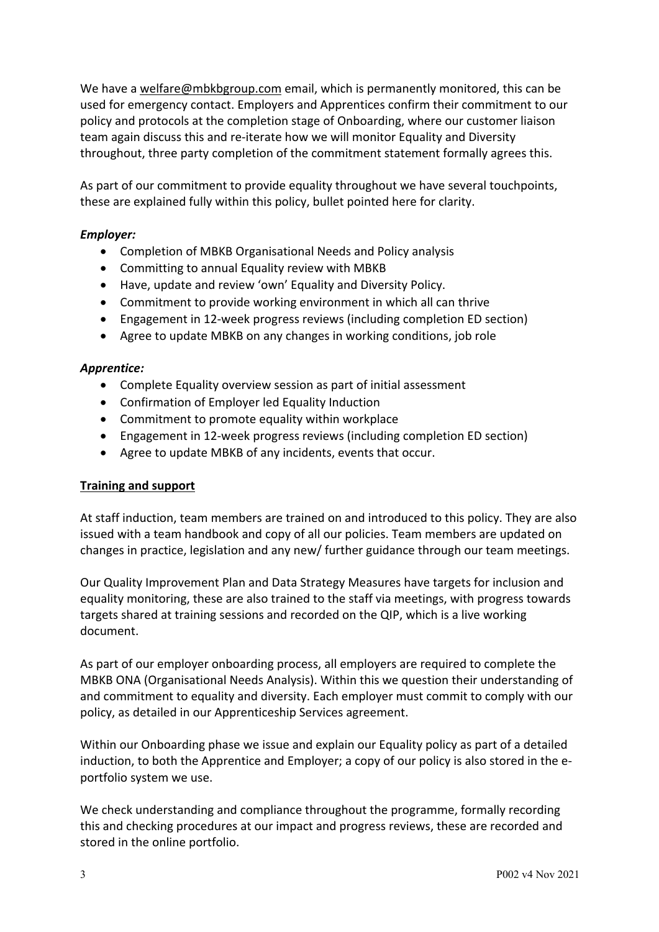We have a welfare@mbkbgroup.com email, which is permanently monitored, this can be used for emergency contact. Employers and Apprentices confirm their commitment to our policy and protocols at the completion stage of Onboarding, where our customer liaison team again discuss this and re-iterate how we will monitor Equality and Diversity throughout, three party completion of the commitment statement formally agrees this.

As part of our commitment to provide equality throughout we have several touchpoints, these are explained fully within this policy, bullet pointed here for clarity.

### *Employer:*

- Completion of MBKB Organisational Needs and Policy analysis
- Committing to annual Equality review with MBKB
- Have, update and review 'own' Equality and Diversity Policy.
- Commitment to provide working environment in which all can thrive
- Engagement in 12-week progress reviews (including completion ED section)
- Agree to update MBKB on any changes in working conditions, job role

### *Apprentice:*

- Complete Equality overview session as part of initial assessment
- Confirmation of Employer led Equality Induction
- Commitment to promote equality within workplace
- Engagement in 12-week progress reviews (including completion ED section)
- Agree to update MBKB of any incidents, events that occur.

#### **Training and support**

At staff induction, team members are trained on and introduced to this policy. They are also issued with a team handbook and copy of all our policies. Team members are updated on changes in practice, legislation and any new/ further guidance through our team meetings.

Our Quality Improvement Plan and Data Strategy Measures have targets for inclusion and equality monitoring, these are also trained to the staff via meetings, with progress towards targets shared at training sessions and recorded on the QIP, which is a live working document.

As part of our employer onboarding process, all employers are required to complete the MBKB ONA (Organisational Needs Analysis). Within this we question their understanding of and commitment to equality and diversity. Each employer must commit to comply with our policy, as detailed in our Apprenticeship Services agreement.

Within our Onboarding phase we issue and explain our Equality policy as part of a detailed induction, to both the Apprentice and Employer; a copy of our policy is also stored in the eportfolio system we use.

We check understanding and compliance throughout the programme, formally recording this and checking procedures at our impact and progress reviews, these are recorded and stored in the online portfolio.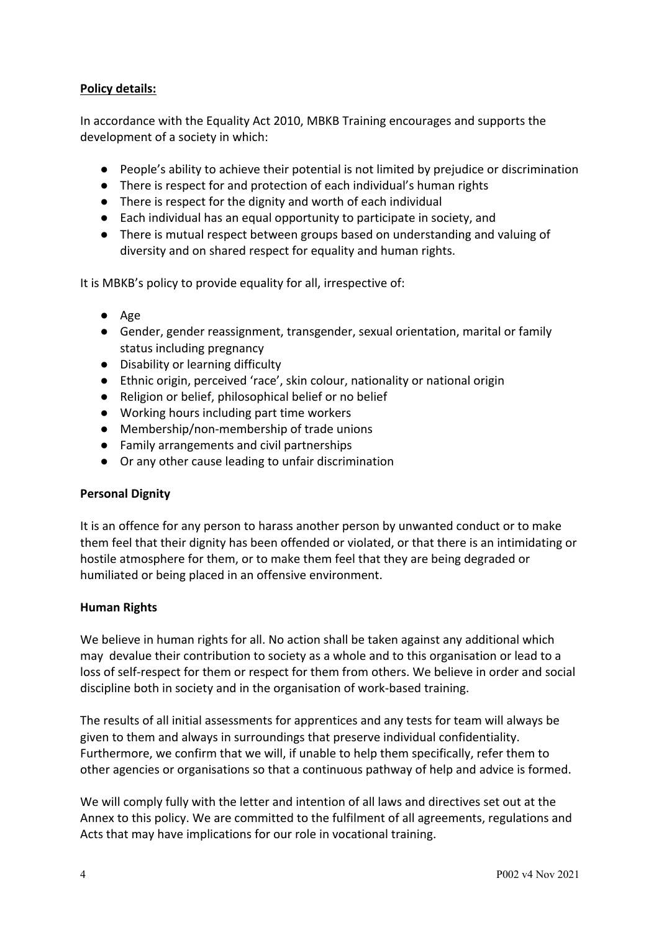## **Policy details:**

In accordance with the Equality Act 2010, MBKB Training encourages and supports the development of a society in which:

- People's ability to achieve their potential is not limited by prejudice or discrimination
- There is respect for and protection of each individual's human rights
- There is respect for the dignity and worth of each individual
- Each individual has an equal opportunity to participate in society, and
- There is mutual respect between groups based on understanding and valuing of diversity and on shared respect for equality and human rights.

It is MBKB's policy to provide equality for all, irrespective of:

- Age
- Gender, gender reassignment, transgender, sexual orientation, marital or family status including pregnancy
- Disability or learning difficulty
- Ethnic origin, perceived 'race', skin colour, nationality or national origin
- Religion or belief, philosophical belief or no belief
- Working hours including part time workers
- Membership/non-membership of trade unions
- Family arrangements and civil partnerships
- Or any other cause leading to unfair discrimination

#### **Personal Dignity**

It is an offence for any person to harass another person by unwanted conduct or to make them feel that their dignity has been offended or violated, or that there is an intimidating or hostile atmosphere for them, or to make them feel that they are being degraded or humiliated or being placed in an offensive environment.

#### **Human Rights**

We believe in human rights for all. No action shall be taken against any additional which may devalue their contribution to society as a whole and to this organisation or lead to a loss of self-respect for them or respect for them from others. We believe in order and social discipline both in society and in the organisation of work-based training.

The results of all initial assessments for apprentices and any tests for team will always be given to them and always in surroundings that preserve individual confidentiality. Furthermore, we confirm that we will, if unable to help them specifically, refer them to other agencies or organisations so that a continuous pathway of help and advice is formed.

We will comply fully with the letter and intention of all laws and directives set out at the Annex to this policy. We are committed to the fulfilment of all agreements, regulations and Acts that may have implications for our role in vocational training.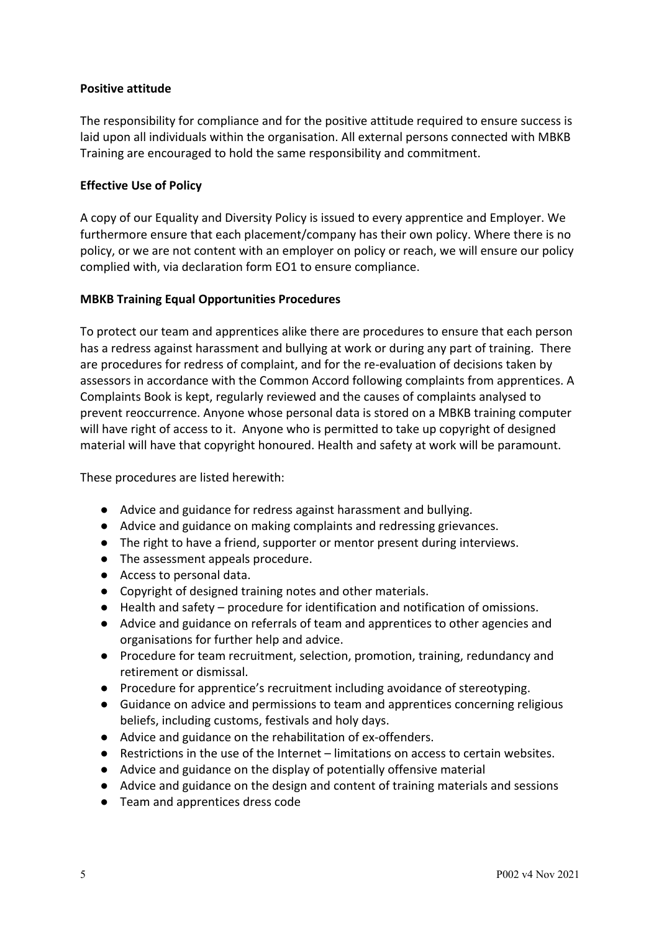#### **Positive attitude**

The responsibility for compliance and for the positive attitude required to ensure success is laid upon all individuals within the organisation. All external persons connected with MBKB Training are encouraged to hold the same responsibility and commitment.

### **Effective Use of Policy**

A copy of our Equality and Diversity Policy is issued to every apprentice and Employer. We furthermore ensure that each placement/company has their own policy. Where there is no policy, or we are not content with an employer on policy or reach, we will ensure our policy complied with, via declaration form EO1 to ensure compliance.

#### **MBKB Training Equal Opportunities Procedures**

To protect our team and apprentices alike there are procedures to ensure that each person has a redress against harassment and bullying at work or during any part of training. There are procedures for redress of complaint, and for the re-evaluation of decisions taken by assessors in accordance with the Common Accord following complaints from apprentices. A Complaints Book is kept, regularly reviewed and the causes of complaints analysed to prevent reoccurrence. Anyone whose personal data is stored on a MBKB training computer will have right of access to it. Anyone who is permitted to take up copyright of designed material will have that copyright honoured. Health and safety at work will be paramount.

These procedures are listed herewith:

- Advice and guidance for redress against harassment and bullying.
- Advice and guidance on making complaints and redressing grievances.
- The right to have a friend, supporter or mentor present during interviews.
- The assessment appeals procedure.
- Access to personal data.
- Copyright of designed training notes and other materials.
- Health and safety procedure for identification and notification of omissions.
- Advice and guidance on referrals of team and apprentices to other agencies and organisations for further help and advice.
- Procedure for team recruitment, selection, promotion, training, redundancy and retirement or dismissal.
- Procedure for apprentice's recruitment including avoidance of stereotyping.
- Guidance on advice and permissions to team and apprentices concerning religious beliefs, including customs, festivals and holy days.
- Advice and guidance on the rehabilitation of ex-offenders.
- Restrictions in the use of the Internet limitations on access to certain websites.
- Advice and guidance on the display of potentially offensive material
- Advice and guidance on the design and content of training materials and sessions
- Team and apprentices dress code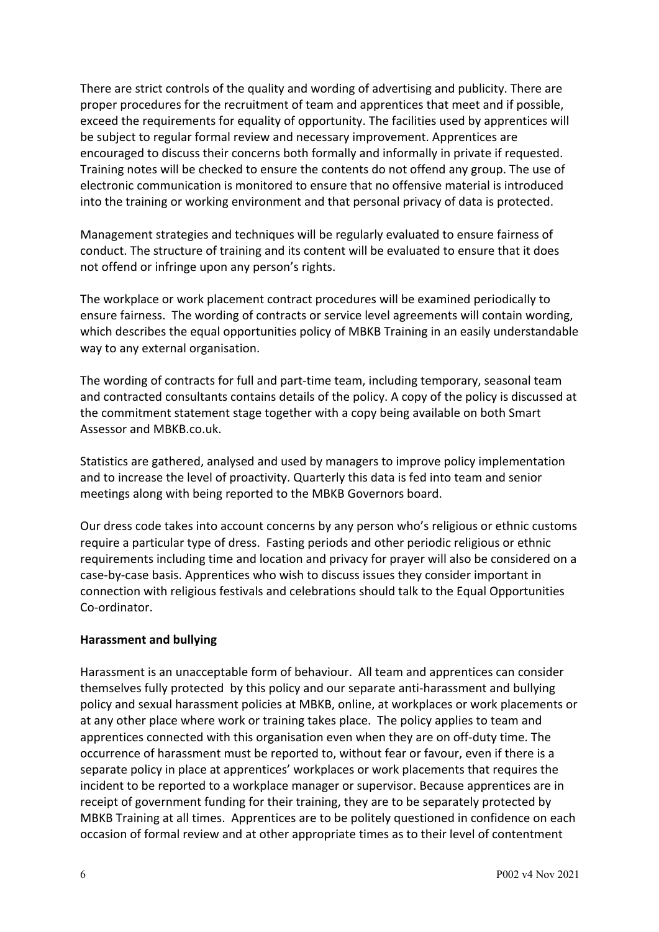There are strict controls of the quality and wording of advertising and publicity. There are proper procedures for the recruitment of team and apprentices that meet and if possible, exceed the requirements for equality of opportunity. The facilities used by apprentices will be subject to regular formal review and necessary improvement. Apprentices are encouraged to discuss their concerns both formally and informally in private if requested. Training notes will be checked to ensure the contents do not offend any group. The use of electronic communication is monitored to ensure that no offensive material is introduced into the training or working environment and that personal privacy of data is protected.

Management strategies and techniques will be regularly evaluated to ensure fairness of conduct. The structure of training and its content will be evaluated to ensure that it does not offend or infringe upon any person's rights.

The workplace or work placement contract procedures will be examined periodically to ensure fairness. The wording of contracts or service level agreements will contain wording, which describes the equal opportunities policy of MBKB Training in an easily understandable way to any external organisation.

The wording of contracts for full and part-time team, including temporary, seasonal team and contracted consultants contains details of the policy. A copy of the policy is discussed at the commitment statement stage together with a copy being available on both Smart Assessor and MBKB.co.uk.

Statistics are gathered, analysed and used by managers to improve policy implementation and to increase the level of proactivity. Quarterly this data is fed into team and senior meetings along with being reported to the MBKB Governors board.

Our dress code takes into account concerns by any person who's religious or ethnic customs require a particular type of dress. Fasting periods and other periodic religious or ethnic requirements including time and location and privacy for prayer will also be considered on a case-by-case basis. Apprentices who wish to discuss issues they consider important in connection with religious festivals and celebrations should talk to the Equal Opportunities Co-ordinator.

## **Harassment and bullying**

Harassment is an unacceptable form of behaviour. All team and apprentices can consider themselves fully protected by this policy and our separate anti-harassment and bullying policy and sexual harassment policies at MBKB, online, at workplaces or work placements or at any other place where work or training takes place. The policy applies to team and apprentices connected with this organisation even when they are on off-duty time. The occurrence of harassment must be reported to, without fear or favour, even if there is a separate policy in place at apprentices' workplaces or work placements that requires the incident to be reported to a workplace manager or supervisor. Because apprentices are in receipt of government funding for their training, they are to be separately protected by MBKB Training at all times. Apprentices are to be politely questioned in confidence on each occasion of formal review and at other appropriate times as to their level of contentment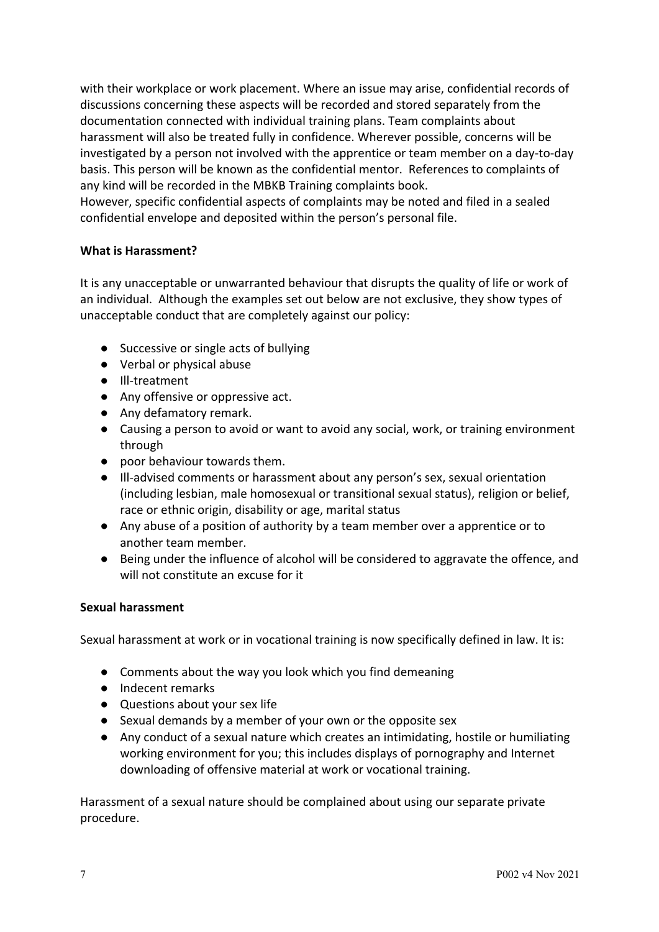with their workplace or work placement. Where an issue may arise, confidential records of discussions concerning these aspects will be recorded and stored separately from the documentation connected with individual training plans. Team complaints about harassment will also be treated fully in confidence. Wherever possible, concerns will be investigated by a person not involved with the apprentice or team member on a day-to-day basis. This person will be known as the confidential mentor. References to complaints of any kind will be recorded in the MBKB Training complaints book.

However, specific confidential aspects of complaints may be noted and filed in a sealed confidential envelope and deposited within the person's personal file.

## **What is Harassment?**

It is any unacceptable or unwarranted behaviour that disrupts the quality of life or work of an individual. Although the examples set out below are not exclusive, they show types of unacceptable conduct that are completely against our policy:

- Successive or single acts of bullying
- Verbal or physical abuse
- Ill-treatment
- Any offensive or oppressive act.
- Any defamatory remark.
- Causing a person to avoid or want to avoid any social, work, or training environment through
- poor behaviour towards them.
- Ill-advised comments or harassment about any person's sex, sexual orientation (including lesbian, male homosexual or transitional sexual status), religion or belief, race or ethnic origin, disability or age, marital status
- Any abuse of a position of authority by a team member over a apprentice or to another team member.
- Being under the influence of alcohol will be considered to aggravate the offence, and will not constitute an excuse for it

#### **Sexual harassment**

Sexual harassment at work or in vocational training is now specifically defined in law. It is:

- Comments about the way you look which you find demeaning
- Indecent remarks
- Questions about your sex life
- Sexual demands by a member of your own or the opposite sex
- Any conduct of a sexual nature which creates an intimidating, hostile or humiliating working environment for you; this includes displays of pornography and Internet downloading of offensive material at work or vocational training.

Harassment of a sexual nature should be complained about using our separate private procedure.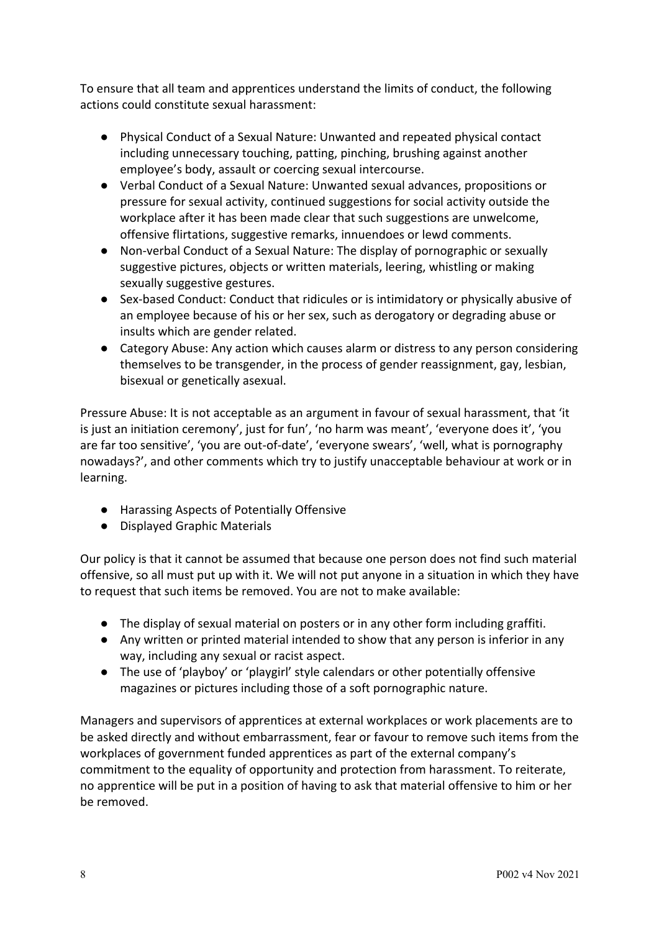To ensure that all team and apprentices understand the limits of conduct, the following actions could constitute sexual harassment:

- Physical Conduct of a Sexual Nature: Unwanted and repeated physical contact including unnecessary touching, patting, pinching, brushing against another employee's body, assault or coercing sexual intercourse.
- Verbal Conduct of a Sexual Nature: Unwanted sexual advances, propositions or pressure for sexual activity, continued suggestions for social activity outside the workplace after it has been made clear that such suggestions are unwelcome, offensive flirtations, suggestive remarks, innuendoes or lewd comments.
- Non-verbal Conduct of a Sexual Nature: The display of pornographic or sexually suggestive pictures, objects or written materials, leering, whistling or making sexually suggestive gestures.
- Sex-based Conduct: Conduct that ridicules or is intimidatory or physically abusive of an employee because of his or her sex, such as derogatory or degrading abuse or insults which are gender related.
- Category Abuse: Any action which causes alarm or distress to any person considering themselves to be transgender, in the process of gender reassignment, gay, lesbian, bisexual or genetically asexual.

Pressure Abuse: It is not acceptable as an argument in favour of sexual harassment, that 'it is just an initiation ceremony', just for fun', 'no harm was meant', 'everyone does it', 'you are far too sensitive', 'you are out-of-date', 'everyone swears', 'well, what is pornography nowadays?', and other comments which try to justify unacceptable behaviour at work or in learning.

- Harassing Aspects of Potentially Offensive
- Displayed Graphic Materials

Our policy is that it cannot be assumed that because one person does not find such material offensive, so all must put up with it. We will not put anyone in a situation in which they have to request that such items be removed. You are not to make available:

- The display of sexual material on posters or in any other form including graffiti.
- Any written or printed material intended to show that any person is inferior in any way, including any sexual or racist aspect.
- The use of 'playboy' or 'playgirl' style calendars or other potentially offensive magazines or pictures including those of a soft pornographic nature.

Managers and supervisors of apprentices at external workplaces or work placements are to be asked directly and without embarrassment, fear or favour to remove such items from the workplaces of government funded apprentices as part of the external company's commitment to the equality of opportunity and protection from harassment. To reiterate, no apprentice will be put in a position of having to ask that material offensive to him or her be removed.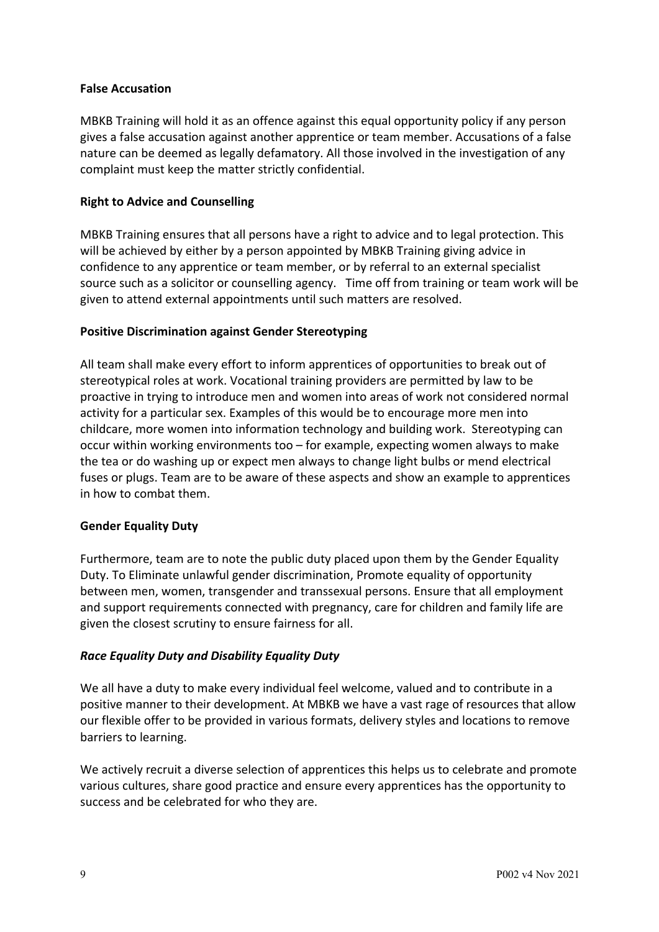#### **False Accusation**

MBKB Training will hold it as an offence against this equal opportunity policy if any person gives a false accusation against another apprentice or team member. Accusations of a false nature can be deemed as legally defamatory. All those involved in the investigation of any complaint must keep the matter strictly confidential.

#### **Right to Advice and Counselling**

MBKB Training ensures that all persons have a right to advice and to legal protection. This will be achieved by either by a person appointed by MBKB Training giving advice in confidence to any apprentice or team member, or by referral to an external specialist source such as a solicitor or counselling agency. Time off from training or team work will be given to attend external appointments until such matters are resolved.

#### **Positive Discrimination against Gender Stereotyping**

All team shall make every effort to inform apprentices of opportunities to break out of stereotypical roles at work. Vocational training providers are permitted by law to be proactive in trying to introduce men and women into areas of work not considered normal activity for a particular sex. Examples of this would be to encourage more men into childcare, more women into information technology and building work. Stereotyping can occur within working environments too – for example, expecting women always to make the tea or do washing up or expect men always to change light bulbs or mend electrical fuses or plugs. Team are to be aware of these aspects and show an example to apprentices in how to combat them.

#### **Gender Equality Duty**

Furthermore, team are to note the public duty placed upon them by the Gender Equality Duty. To Eliminate unlawful gender discrimination, Promote equality of opportunity between men, women, transgender and transsexual persons. Ensure that all employment and support requirements connected with pregnancy, care for children and family life are given the closest scrutiny to ensure fairness for all.

#### *Race Equality Duty and Disability Equality Duty*

We all have a duty to make every individual feel welcome, valued and to contribute in a positive manner to their development. At MBKB we have a vast rage of resources that allow our flexible offer to be provided in various formats, delivery styles and locations to remove barriers to learning.

We actively recruit a diverse selection of apprentices this helps us to celebrate and promote various cultures, share good practice and ensure every apprentices has the opportunity to success and be celebrated for who they are.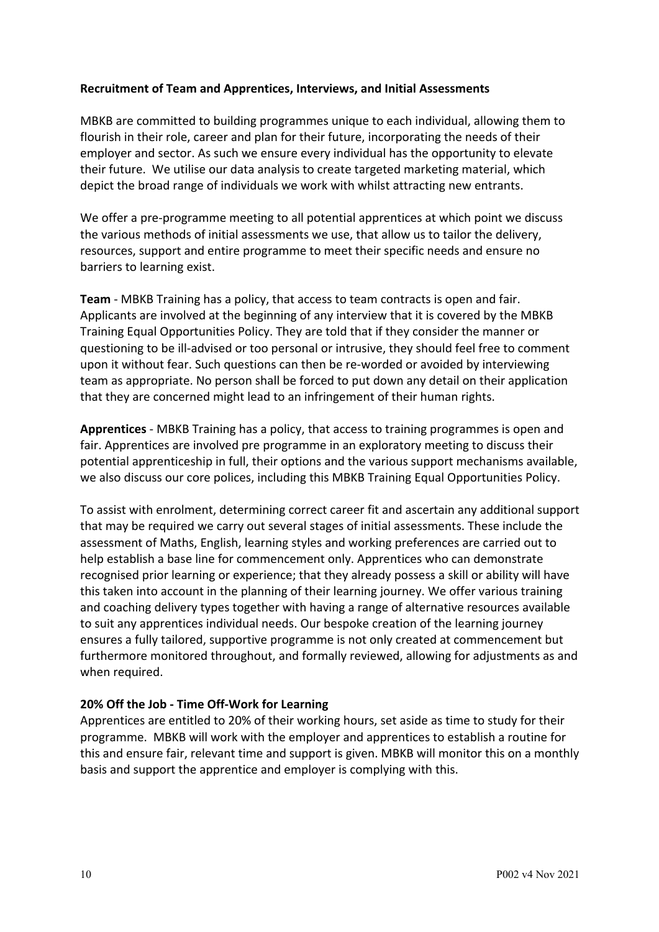#### **Recruitment of Team and Apprentices, Interviews, and Initial Assessments**

MBKB are committed to building programmes unique to each individual, allowing them to flourish in their role, career and plan for their future, incorporating the needs of their employer and sector. As such we ensure every individual has the opportunity to elevate their future. We utilise our data analysis to create targeted marketing material, which depict the broad range of individuals we work with whilst attracting new entrants.

We offer a pre-programme meeting to all potential apprentices at which point we discuss the various methods of initial assessments we use, that allow us to tailor the delivery, resources, support and entire programme to meet their specific needs and ensure no barriers to learning exist.

**Team** - MBKB Training has a policy, that access to team contracts is open and fair. Applicants are involved at the beginning of any interview that it is covered by the MBKB Training Equal Opportunities Policy. They are told that if they consider the manner or questioning to be ill-advised or too personal or intrusive, they should feel free to comment upon it without fear. Such questions can then be re-worded or avoided by interviewing team as appropriate. No person shall be forced to put down any detail on their application that they are concerned might lead to an infringement of their human rights.

**Apprentices** - MBKB Training has a policy, that access to training programmes is open and fair. Apprentices are involved pre programme in an exploratory meeting to discuss their potential apprenticeship in full, their options and the various support mechanisms available, we also discuss our core polices, including this MBKB Training Equal Opportunities Policy.

To assist with enrolment, determining correct career fit and ascertain any additional support that may be required we carry out several stages of initial assessments. These include the assessment of Maths, English, learning styles and working preferences are carried out to help establish a base line for commencement only. Apprentices who can demonstrate recognised prior learning or experience; that they already possess a skill or ability will have this taken into account in the planning of their learning journey. We offer various training and coaching delivery types together with having a range of alternative resources available to suit any apprentices individual needs. Our bespoke creation of the learning journey ensures a fully tailored, supportive programme is not only created at commencement but furthermore monitored throughout, and formally reviewed, allowing for adjustments as and when required.

#### **20% Off the Job - Time Off-Work for Learning**

Apprentices are entitled to 20% of their working hours, set aside as time to study for their programme. MBKB will work with the employer and apprentices to establish a routine for this and ensure fair, relevant time and support is given. MBKB will monitor this on a monthly basis and support the apprentice and employer is complying with this.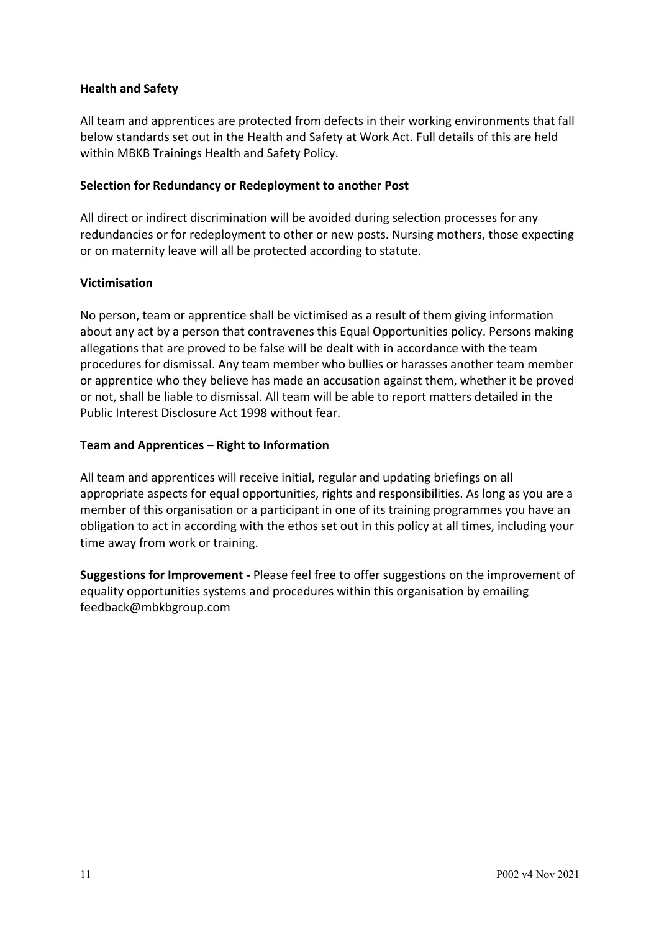### **Health and Safety**

All team and apprentices are protected from defects in their working environments that fall below standards set out in the Health and Safety at Work Act. Full details of this are held within MBKB Trainings Health and Safety Policy.

#### **Selection for Redundancy or Redeployment to another Post**

All direct or indirect discrimination will be avoided during selection processes for any redundancies or for redeployment to other or new posts. Nursing mothers, those expecting or on maternity leave will all be protected according to statute.

### **Victimisation**

No person, team or apprentice shall be victimised as a result of them giving information about any act by a person that contravenes this Equal Opportunities policy. Persons making allegations that are proved to be false will be dealt with in accordance with the team procedures for dismissal. Any team member who bullies or harasses another team member or apprentice who they believe has made an accusation against them, whether it be proved or not, shall be liable to dismissal. All team will be able to report matters detailed in the Public Interest Disclosure Act 1998 without fear.

### **Team and Apprentices – Right to Information**

All team and apprentices will receive initial, regular and updating briefings on all appropriate aspects for equal opportunities, rights and responsibilities. As long as you are a member of this organisation or a participant in one of its training programmes you have an obligation to act in according with the ethos set out in this policy at all times, including your time away from work or training.

**Suggestions for Improvement -** Please feel free to offer suggestions on the improvement of equality opportunities systems and procedures within this organisation by emailing feedback@mbkbgroup.com